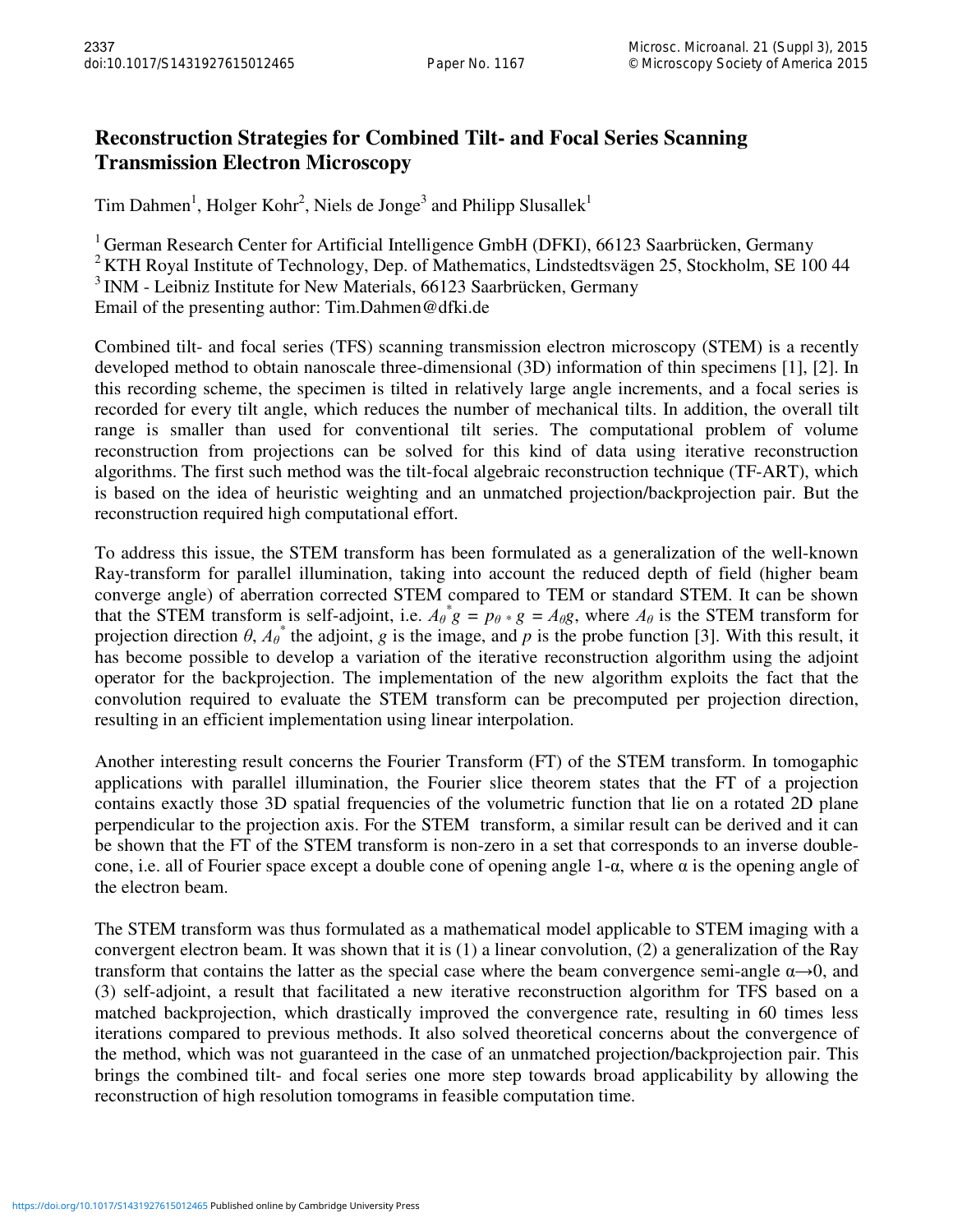## **Reconstruction Strategies for Combined Tilt- and Focal Series Scanning Transmission Electron Microscopy**

Tim Dahmen<sup>1</sup>, Holger Kohr<sup>2</sup>, Niels de Jonge<sup>3</sup> and Philipp Slusallek<sup>1</sup>

<sup>1</sup> German Research Center for Artificial Intelligence GmbH (DFKI), 66123 Saarbrücken, Germany  $2$  KTH Royal Institute of Technology, Dep. of Mathematics, Lindstedtsvägen 25, Stockholm, SE 100 44  $3$  INM - Leibniz Institute for New Materials, 66123 Saarbrücken, Germany Email of the presenting author: Tim.Dahmen@dfki.de

Combined tilt- and focal series (TFS) scanning transmission electron microscopy (STEM) is a recently developed method to obtain nanoscale three-dimensional (3D) information of thin specimens [1], [2]. In this recording scheme, the specimen is tilted in relatively large angle increments, and a focal series is recorded for every tilt angle, which reduces the number of mechanical tilts. In addition, the overall tilt range is smaller than used for conventional tilt series. The computational problem of volume reconstruction from projections can be solved for this kind of data using iterative reconstruction algorithms. The first such method was the tilt-focal algebraic reconstruction technique (TF-ART), which is based on the idea of heuristic weighting and an unmatched projection/backprojection pair. But the reconstruction required high computational effort.

To address this issue, the STEM transform has been formulated as a generalization of the well-known Ray-transform for parallel illumination, taking into account the reduced depth of field (higher beam converge angle) of aberration corrected STEM compared to TEM or standard STEM. It can be shown that the STEM transform is self-adjoint, i.e.  $A_{\theta}^{*}g = p_{\theta}*g = A_{\theta}g$ , where  $A_{\theta}$  is the STEM transform for projection direction  $\theta$ ,  $A_{\theta}^*$  the adjoint, g is the image, and p is the probe function [3]. With this result, it has become possible to develop a variation of the iterative reconstruction algorithm using the adjoint operator for the backprojection. The implementation of the new algorithm exploits the fact that the convolution required to evaluate the STEM transform can be precomputed per projection direction, resulting in an efficient implementation using linear interpolation.

Another interesting result concerns the Fourier Transform (FT) of the STEM transform. In tomogaphic applications with parallel illumination, the Fourier slice theorem states that the FT of a projection contains exactly those 3D spatial frequencies of the volumetric function that lie on a rotated 2D plane perpendicular to the projection axis. For the STEM transform, a similar result can be derived and it can be shown that the FT of the STEM transform is non-zero in a set that corresponds to an inverse doublecone, i.e. all of Fourier space except a double cone of opening angle 1-α, where α is the opening angle of the electron beam.

The STEM transform was thus formulated as a mathematical model applicable to STEM imaging with a convergent electron beam. It was shown that it is (1) a linear convolution, (2) a generalization of the Ray transform that contains the latter as the special case where the beam convergence semi-angle  $\alpha \rightarrow 0$ , and (3) self-adjoint, a result that facilitated a new iterative reconstruction algorithm for TFS based on a matched backprojection, which drastically improved the convergence rate, resulting in 60 times less iterations compared to previous methods. It also solved theoretical concerns about the convergence of the method, which was not guaranteed in the case of an unmatched projection/backprojection pair. This brings the combined tilt- and focal series one more step towards broad applicability by allowing the reconstruction of high resolution tomograms in feasible computation time.